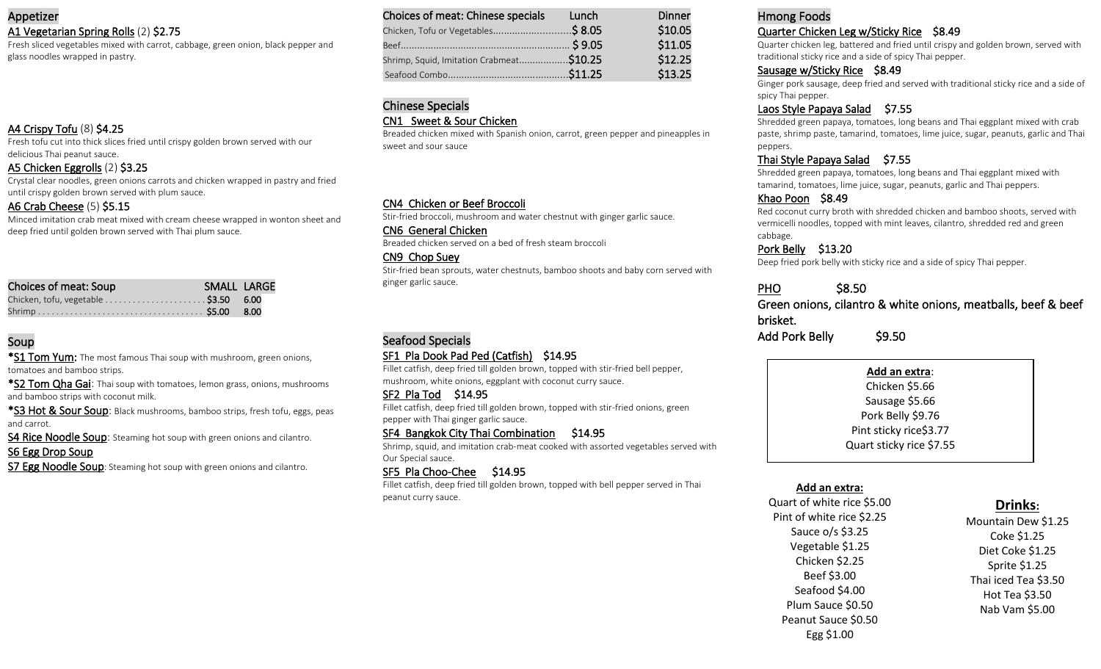#### Appetizer A1 Vegetarian Spring Rolls (2) \$2.75

Fresh sliced vegetables mixed with carrot, cabbage, green onion, black pepper and glass noodles wrapped in pastry.

#### A4 Crispy Tofu (8) \$4.25

Fresh tofu cut into thick slices fried until crispy golden brown served with our delicious Thai peanut sauce.

#### A5 Chicken Eggrolls (2) \$3.25

Crystal clear noodles, green onions carrots and chicken wrapped in pastry and fried until crispy golden brown served with plum sauce.

#### A6 Crab Cheese (5) \$5.15

Minced imitation crab meat mixed with cream cheese wrapped in wonton sheet and deep fried until golden brown served with Thai plum sauce.

| Choices of meat: Soup | SMALL LARGE |  |
|-----------------------|-------------|--|
|                       |             |  |
|                       |             |  |

#### Soup

\*S1 Tom Yum: The most famous Thai soup with mushroom, green onions, tomatoes and bamboo strips.

\*S2 Tom Qha Gai: Thai soup with tomatoes, lemon grass, onions, mushrooms and bamboo strips with coconut milk.

\*S3 Hot & Sour Soup: Black mushrooms, bamboo strips, fresh tofu, eggs, peas and carrot.

S4 Rice Noodle Soup: Steaming hot soup with green onions and cilantro. S6 Egg Drop Soup

S7 Egg Noodle Soup: Steaming hot soup with green onions and cilantro.

| Choices of meat: Chinese specials        | Lunch | <b>Dinner</b> |
|------------------------------------------|-------|---------------|
| Chicken, Tofu or Vegetables\$ 8.05       |       | \$10.05       |
|                                          |       | \$11.05       |
| Shrimp, Squid, Imitation Crabmeat\$10.25 |       | \$12.25       |
|                                          |       | \$13.25       |

## Chinese Specials

#### CN1 Sweet & Sour Chicken

Breaded chicken mixed with Spanish onion, carrot, green pepper and pineapples in sweet and sour sauce

#### CN4 Chicken or Beef Broccoli

Stir-fried broccoli, mushroom and water chestnut with ginger garlic sauce.

CN6 General Chicken

Breaded chicken served on a bed of fresh steam broccoli

CN9 Chop Suey

Stir-fried bean sprouts, water chestnuts, bamboo shoots and baby corn served with ginger garlic sauce.

## Seafood Specials

#### SF1 Pla Dook Pad Ped (Catfish) \$14.95

Fillet catfish, deep fried till golden brown, topped with stir-fried bell pepper, mushroom, white onions, eggplant with coconut curry sauce.

#### SF2 Pla Tod \$14.95

Fillet catfish, deep fried till golden brown, topped with stir-fried onions, green pepper with Thai ginger garlic sauce.

#### SF4 Bangkok City Thai Combination \$14.95

Shrimp, squid, and imitation crab-meat cooked with assorted vegetables served with Our Special sauce.

#### SF5 Pla Choo-Chee \$14.95

Fillet catfish, deep fried till golden brown, topped with bell pepper served in Thai peanut curry sauce.

#### Hmong Foods Quarter Chicken Leg w/Sticky Rice \$8.49

Quarter chicken leg, battered and fried until crispy and golden brown, served with traditional sticky rice and a side of spicy Thai pepper.

#### Sausage w/Sticky Rice \$8.49

Ginger pork sausage, deep fried and served with traditional sticky rice and a side of spicy Thai pepper.

#### Laos Style Papaya Salad \$7.55

Shredded green papaya, tomatoes, long beans and Thai eggplant mixed with crab paste, shrimp paste, tamarind, tomatoes, lime juice, sugar, peanuts, garlic and Thai peppers.

#### Thai Style Papaya Salad \$7.55

Shredded green papaya, tomatoes, long beans and Thai eggplant mixed with tamarind, tomatoes, lime juice, sugar, peanuts, garlic and Thai peppers.

#### Khao Poon \$8.49

Red coconut curry broth with shredded chicken and bamboo shoots, served with vermicelli noodles, topped with mint leaves, cilantro, shredded red and green cabbage.

Pork Belly \$13.20

Deep fried pork belly with sticky rice and a side of spicy Thai pepper.

## PHO \$8.50

Green onions, cilantro & white onions, meatballs, beef & beef brisket.

Add Pork Belly \$9.50

#### **Add an extra**:

Chicken \$5.66 Sausage \$5.66 Pork Belly \$9.76 Pint sticky rice\$3.77 Quart sticky rice \$7.55

#### **Add an extra:**

Quart of white rice \$5.00 Pint of white rice \$2.25 Sauce o/s \$3.25 Vegetable \$1.25 Chicken \$2.25 Beef \$3.00 Seafood \$4.00 Plum Sauce \$0.50 Peanut Sauce \$0.50 Egg \$1.00

## **Drinks:**

Mountain Dew \$1.25 Coke \$1.25 Diet Coke \$1.25 Sprite \$1.25 Thai iced Tea \$3.50 Hot Tea \$3.50 Nab Vam \$5.00